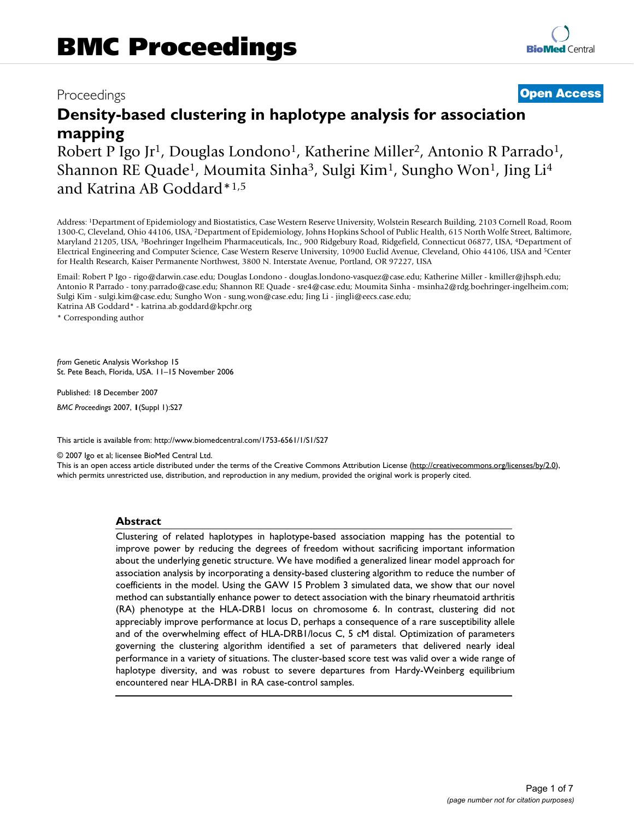# Proceedings **[Open Access](http://www.biomedcentral.com/info/about/charter/)**

# **Density-based clustering in haplotype analysis for association mapping**

Robert P Igo Jr<sup>1</sup>, Douglas Londono<sup>1</sup>, Katherine Miller<sup>2</sup>, Antonio R Parrado<sup>1</sup>, Shannon RE Quade<sup>1</sup>, Moumita Sinha<sup>3</sup>, Sulgi Kim<sup>1</sup>, Sungho Won<sup>1</sup>, Jing Li<sup>4</sup> and Katrina AB Goddard\*1,5

Address: 1Department of Epidemiology and Biostatistics, Case Western Reserve University, Wolstein Research Building, 2103 Cornell Road, Room 1300-C, Cleveland, Ohio 44106, USA, 2Department of Epidemiology, Johns Hopkins School of Public Health, 615 North Wolfe Street, Baltimore, Maryland 21205, USA, 3Boehringer Ingelheim Pharmaceuticals, Inc., 900 Ridgebury Road, Ridgefield, Connecticut 06877, USA, 4Department of Electrical Engineering and Computer Science, Case Western Reserve University, 10900 Euclid Avenue, Cleveland, Ohio 44106, USA and 5Center for Health Research, Kaiser Permanente Northwest, 3800 N. Interstate Avenue, Portland, OR 97227, USA

Email: Robert P Igo - rigo@darwin.case.edu; Douglas Londono - douglas.londono-vasquez@case.edu; Katherine Miller - kmiller@jhsph.edu; Antonio R Parrado - tony.parrado@case.edu; Shannon RE Quade - sre4@case.edu; Moumita Sinha - msinha2@rdg.boehringer-ingelheim.com; Sulgi Kim - sulgi.kim@case.edu; Sungho Won - sung.won@case.edu; Jing Li - jingli@eecs.case.edu; Katrina AB Goddard\* - katrina.ab.goddard@kpchr.org

\* Corresponding author

*from* Genetic Analysis Workshop 15 St. Pete Beach, Florida, USA. 11–15 November 2006

Published: 18 December 2007

*BMC Proceedings* 2007, **1**(Suppl 1):S27

[This article is available from: http://www.biomedcentral.com/1753-6561/1/S1/S27](http://www.biomedcentral.com/1753-6561/1/S1/S27)

© 2007 Igo et al; licensee BioMed Central Ltd.

This is an open access article distributed under the terms of the Creative Commons Attribution License [\(http://creativecommons.org/licenses/by/2.0\)](http://creativecommons.org/licenses/by/2.0), which permits unrestricted use, distribution, and reproduction in any medium, provided the original work is properly cited.

#### **Abstract**

Clustering of related haplotypes in haplotype-based association mapping has the potential to improve power by reducing the degrees of freedom without sacrificing important information about the underlying genetic structure. We have modified a generalized linear model approach for association analysis by incorporating a density-based clustering algorithm to reduce the number of coefficients in the model. Using the GAW 15 Problem 3 simulated data, we show that our novel method can substantially enhance power to detect association with the binary rheumatoid arthritis (RA) phenotype at the HLA-DRB1 locus on chromosome 6. In contrast, clustering did not appreciably improve performance at locus D, perhaps a consequence of a rare susceptibility allele and of the overwhelming effect of HLA-DRB1/locus C, 5 cM distal. Optimization of parameters governing the clustering algorithm identified a set of parameters that delivered nearly ideal performance in a variety of situations. The cluster-based score test was valid over a wide range of haplotype diversity, and was robust to severe departures from Hardy-Weinberg equilibrium encountered near HLA-DRB1 in RA case-control samples.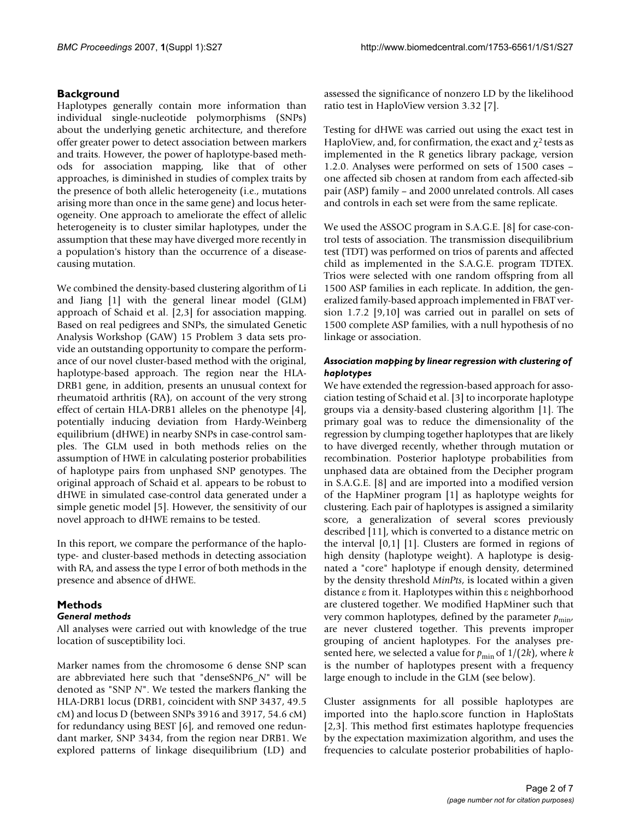# **Background**

Haplotypes generally contain more information than individual single-nucleotide polymorphisms (SNPs) about the underlying genetic architecture, and therefore offer greater power to detect association between markers and traits. However, the power of haplotype-based methods for association mapping, like that of other approaches, is diminished in studies of complex traits by the presence of both allelic heterogeneity (i.e., mutations arising more than once in the same gene) and locus heterogeneity. One approach to ameliorate the effect of allelic heterogeneity is to cluster similar haplotypes, under the assumption that these may have diverged more recently in a population's history than the occurrence of a diseasecausing mutation.

We combined the density-based clustering algorithm of Li and Jiang [1] with the general linear model (GLM) approach of Schaid et al. [2,3] for association mapping. Based on real pedigrees and SNPs, the simulated Genetic Analysis Workshop (GAW) 15 Problem 3 data sets provide an outstanding opportunity to compare the performance of our novel cluster-based method with the original, haplotype-based approach. The region near the HLA-DRB1 gene, in addition, presents an unusual context for rheumatoid arthritis (RA), on account of the very strong effect of certain HLA-DRB1 alleles on the phenotype [4], potentially inducing deviation from Hardy-Weinberg equilibrium (dHWE) in nearby SNPs in case-control samples. The GLM used in both methods relies on the assumption of HWE in calculating posterior probabilities of haplotype pairs from unphased SNP genotypes. The original approach of Schaid et al. appears to be robust to dHWE in simulated case-control data generated under a simple genetic model [5]. However, the sensitivity of our novel approach to dHWE remains to be tested.

In this report, we compare the performance of the haplotype- and cluster-based methods in detecting association with RA, and assess the type I error of both methods in the presence and absence of dHWE.

# **Methods**

## *General methods*

All analyses were carried out with knowledge of the true location of susceptibility loci.

Marker names from the chromosome 6 dense SNP scan are abbreviated here such that "denseSNP6\_*N*" will be denoted as "SNP *N*". We tested the markers flanking the HLA-DRB1 locus (DRB1, coincident with SNP 3437, 49.5 cM) and locus D (between SNPs 3916 and 3917, 54.6 cM) for redundancy using BEST [6], and removed one redundant marker, SNP 3434, from the region near DRB1. We explored patterns of linkage disequilibrium (LD) and

assessed the significance of nonzero LD by the likelihood ratio test in HaploView version 3.32 [7].

Testing for dHWE was carried out using the exact test in HaploView, and, for confirmation, the exact and  $\chi^2$  tests as implemented in the R genetics library package, version 1.2.0. Analyses were performed on sets of 1500 cases – one affected sib chosen at random from each affected-sib pair (ASP) family – and 2000 unrelated controls. All cases and controls in each set were from the same replicate.

We used the ASSOC program in S.A.G.E. [8] for case-control tests of association. The transmission disequilibrium test (TDT) was performed on trios of parents and affected child as implemented in the S.A.G.E. program TDTEX. Trios were selected with one random offspring from all 1500 ASP families in each replicate. In addition, the generalized family-based approach implemented in FBAT version 1.7.2 [9,10] was carried out in parallel on sets of 1500 complete ASP families, with a null hypothesis of no linkage or association.

### *Association mapping by linear regression with clustering of haplotypes*

We have extended the regression-based approach for association testing of Schaid et al. [3] to incorporate haplotype groups via a density-based clustering algorithm [1]. The primary goal was to reduce the dimensionality of the regression by clumping together haplotypes that are likely to have diverged recently, whether through mutation or recombination. Posterior haplotype probabilities from unphased data are obtained from the Decipher program in S.A.G.E. [8] and are imported into a modified version of the HapMiner program [1] as haplotype weights for clustering. Each pair of haplotypes is assigned a similarity score, a generalization of several scores previously described [11], which is converted to a distance metric on the interval [0,1] [1]. Clusters are formed in regions of high density (haplotype weight). A haplotype is designated a "core" haplotype if enough density, determined by the density threshold *MinPts*, is located within a given distance ε from it. Haplotypes within this ε neighborhood are clustered together. We modified HapMiner such that very common haplotypes, defined by the parameter  $p_{\text{min}}$ , are never clustered together. This prevents improper grouping of ancient haplotypes. For the analyses presented here, we selected a value for  $p_{\text{min}}$  of  $1/(2k)$ , where *k* is the number of haplotypes present with a frequency large enough to include in the GLM (see below).

Cluster assignments for all possible haplotypes are imported into the haplo.score function in HaploStats [2,3]. This method first estimates haplotype frequencies by the expectation maximization algorithm, and uses the frequencies to calculate posterior probabilities of haplo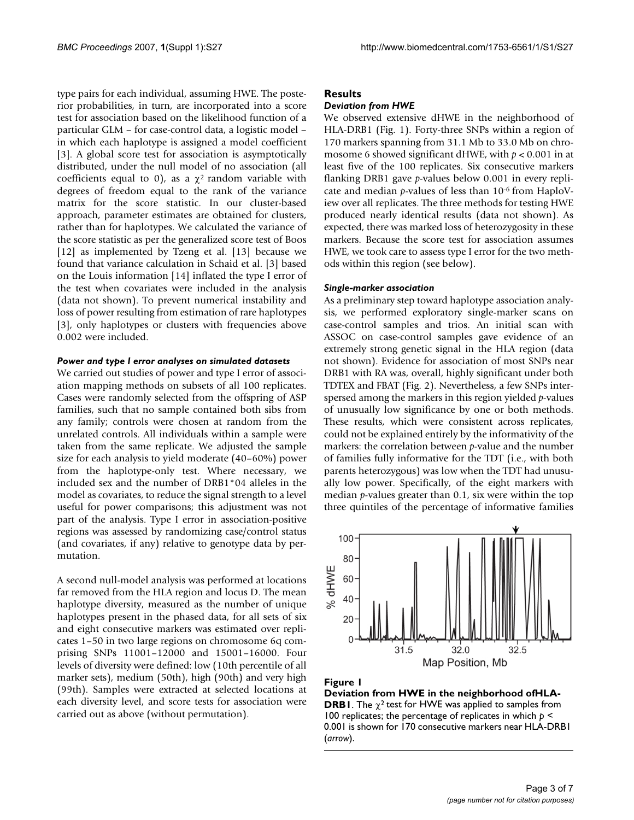type pairs for each individual, assuming HWE. The posterior probabilities, in turn, are incorporated into a score test for association based on the likelihood function of a particular GLM – for case-control data, a logistic model – in which each haplotype is assigned a model coefficient [3]. A global score test for association is asymptotically distributed, under the null model of no association (all coefficients equal to 0), as a  $\chi^2$  random variable with degrees of freedom equal to the rank of the variance matrix for the score statistic. In our cluster-based approach, parameter estimates are obtained for clusters, rather than for haplotypes. We calculated the variance of the score statistic as per the generalized score test of Boos [12] as implemented by Tzeng et al. [13] because we found that variance calculation in Schaid et al. [3] based on the Louis information [14] inflated the type I error of the test when covariates were included in the analysis (data not shown). To prevent numerical instability and loss of power resulting from estimation of rare haplotypes [3], only haplotypes or clusters with frequencies above 0.002 were included.

#### *Power and type I error analyses on simulated datasets*

We carried out studies of power and type I error of association mapping methods on subsets of all 100 replicates. Cases were randomly selected from the offspring of ASP families, such that no sample contained both sibs from any family; controls were chosen at random from the unrelated controls. All individuals within a sample were taken from the same replicate. We adjusted the sample size for each analysis to yield moderate (40–60%) power from the haplotype-only test. Where necessary, we included sex and the number of DRB1\*04 alleles in the model as covariates, to reduce the signal strength to a level useful for power comparisons; this adjustment was not part of the analysis. Type I error in association-positive regions was assessed by randomizing case/control status (and covariates, if any) relative to genotype data by permutation.

A second null-model analysis was performed at locations far removed from the HLA region and locus D. The mean haplotype diversity, measured as the number of unique haplotypes present in the phased data, for all sets of six and eight consecutive markers was estimated over replicates 1–50 in two large regions on chromosome 6q comprising SNPs 11001–12000 and 15001–16000. Four levels of diversity were defined: low (10th percentile of all marker sets), medium (50th), high (90th) and very high (99th). Samples were extracted at selected locations at each diversity level, and score tests for association were carried out as above (without permutation).

### **Results**

#### *Deviation from HWE*

We observed extensive dHWE in the neighborhood of HLA-DRB1 (Fig. 1). Forty-three SNPs within a region of 170 markers spanning from 31.1 Mb to 33.0 Mb on chromosome 6 showed significant dHWE, with *p* < 0.001 in at least five of the 100 replicates. Six consecutive markers flanking DRB1 gave *p*-values below 0.001 in every replicate and median *p*-values of less than 10-6 from HaploView over all replicates. The three methods for testing HWE produced nearly identical results (data not shown). As expected, there was marked loss of heterozygosity in these markers. Because the score test for association assumes HWE, we took care to assess type I error for the two methods within this region (see below).

#### *Single-marker association*

As a preliminary step toward haplotype association analysis, we performed exploratory single-marker scans on case-control samples and trios. An initial scan with ASSOC on case-control samples gave evidence of an extremely strong genetic signal in the HLA region (data not shown). Evidence for association of most SNPs near DRB1 with RA was, overall, highly significant under both TDTEX and FBAT (Fig. 2). Nevertheless, a few SNPs interspersed among the markers in this region yielded *p*-values of unusually low significance by one or both methods. These results, which were consistent across replicates, could not be explained entirely by the informativity of the markers: the correlation between *p*-value and the number of families fully informative for the TDT (i.e., with both parents heterozygous) was low when the TDT had unusually low power. Specifically, of the eight markers with median *p*-values greater than 0.1, six were within the top three quintiles of the percentage of informative families



# **Figure 1**

**Deviation from HWE in the neighborhood ofHLA-DRB1**. The  $\chi^2$  test for HWE was applied to samples from 100 replicates; the percentage of replicates in which *p* < 0.001 is shown for 170 consecutive markers near HLA-DRB1 (*arrow*).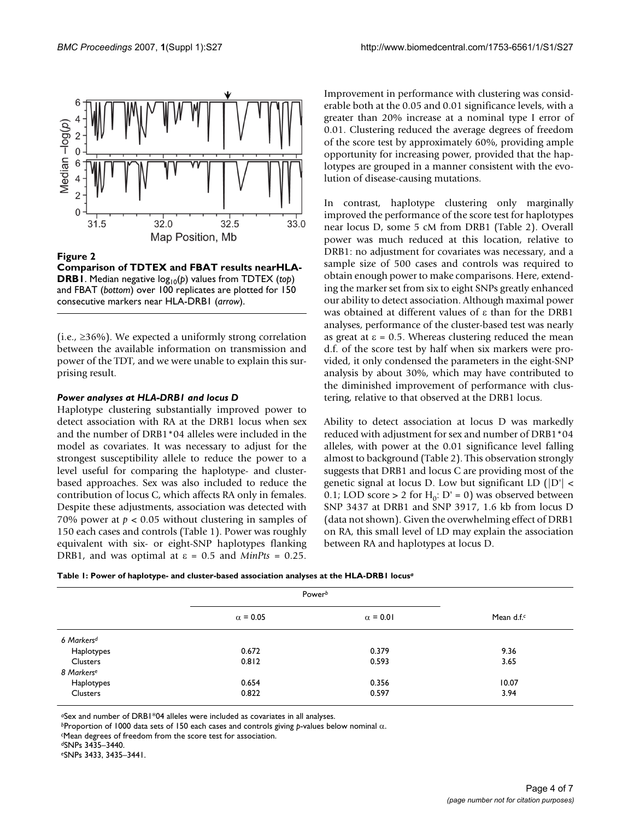

Figure 2

**Comparison of TDTEX and FBAT results nearHLA-DRB1**. Median negative  $log_{10}(p)$  values from TDTEX (top) and FBAT (*bottom*) over 100 replicates are plotted for 150 consecutive markers near HLA-DRB1 (*arrow*).

(i.e.,  $\geq$ 36%). We expected a uniformly strong correlation between the available information on transmission and power of the TDT, and we were unable to explain this surprising result.

#### *Power analyses at HLA-DRB1 and locus D*

Haplotype clustering substantially improved power to detect association with RA at the DRB1 locus when sex and the number of DRB1\*04 alleles were included in the model as covariates. It was necessary to adjust for the strongest susceptibility allele to reduce the power to a level useful for comparing the haplotype- and clusterbased approaches. Sex was also included to reduce the contribution of locus C, which affects RA only in females. Despite these adjustments, association was detected with 70% power at  $p < 0.05$  without clustering in samples of 150 each cases and controls (Table 1). Power was roughly equivalent with six- or eight-SNP haplotypes flanking DRB1, and was optimal at  $\varepsilon = 0.5$  and *MinPts* = 0.25.

Improvement in performance with clustering was considerable both at the 0.05 and 0.01 significance levels, with a greater than 20% increase at a nominal type I error of 0.01. Clustering reduced the average degrees of freedom of the score test by approximately 60%, providing ample opportunity for increasing power, provided that the haplotypes are grouped in a manner consistent with the evolution of disease-causing mutations.

In contrast, haplotype clustering only marginally improved the performance of the score test for haplotypes near locus D, some 5 cM from DRB1 (Table 2). Overall power was much reduced at this location, relative to DRB1: no adjustment for covariates was necessary, and a sample size of 500 cases and controls was required to obtain enough power to make comparisons. Here, extending the marker set from six to eight SNPs greatly enhanced our ability to detect association. Although maximal power was obtained at different values of ε than for the DRB1 analyses, performance of the cluster-based test was nearly as great at  $\epsilon$  = 0.5. Whereas clustering reduced the mean d.f. of the score test by half when six markers were provided, it only condensed the parameters in the eight-SNP analysis by about 30%, which may have contributed to the diminished improvement of performance with clustering, relative to that observed at the DRB1 locus.

Ability to detect association at locus D was markedly reduced with adjustment for sex and number of DRB1\*04 alleles, with power at the 0.01 significance level falling almost to background (Table 2). This observation strongly suggests that DRB1 and locus C are providing most of the genetic signal at locus D. Low but significant LD  $(|D'|$  < 0.1; LOD score > 2 for  $H_0$ : D' = 0) was observed between SNP 3437 at DRB1 and SNP 3917, 1.6 kb from locus D (data not shown). Given the overwhelming effect of DRB1 on RA, this small level of LD may explain the association between RA and haplotypes at locus D.

| Table 1: Power of haplotype- and cluster-based association analyses at the HLA-DRB1 locusª |  |  |
|--------------------------------------------------------------------------------------------|--|--|
|                                                                                            |  |  |

|                        |                 | Power <sup>b</sup> |                        |  |  |
|------------------------|-----------------|--------------------|------------------------|--|--|
|                        | $\alpha$ = 0.05 | $\alpha$ = 0.01    | Mean d.f. <sup>c</sup> |  |  |
| 6 Markers <sup>d</sup> |                 |                    |                        |  |  |
| Haplotypes             | 0.672           | 0.379              | 9.36                   |  |  |
| Clusters               | 0.812           | 0.593              | 3.65                   |  |  |
| 8 Markers <sup>e</sup> |                 |                    |                        |  |  |
| Haplotypes             | 0.654           | 0.356              | 10.07                  |  |  |
| Clusters               | 0.822           | 0.597              | 3.94                   |  |  |

*<sup>a</sup>*Sex and number of DRB1\*04 alleles were included as covariates in all analyses.

*<sup>b</sup>*Proportion of 1000 data sets of 150 each cases and controls giving *p*-values below nominal α.

*<sup>e</sup>*SNPs 3433, 3435–3441.

*<sup>c</sup>*Mean degrees of freedom from the score test for association.

*<sup>d</sup>*SNPs 3435–3440.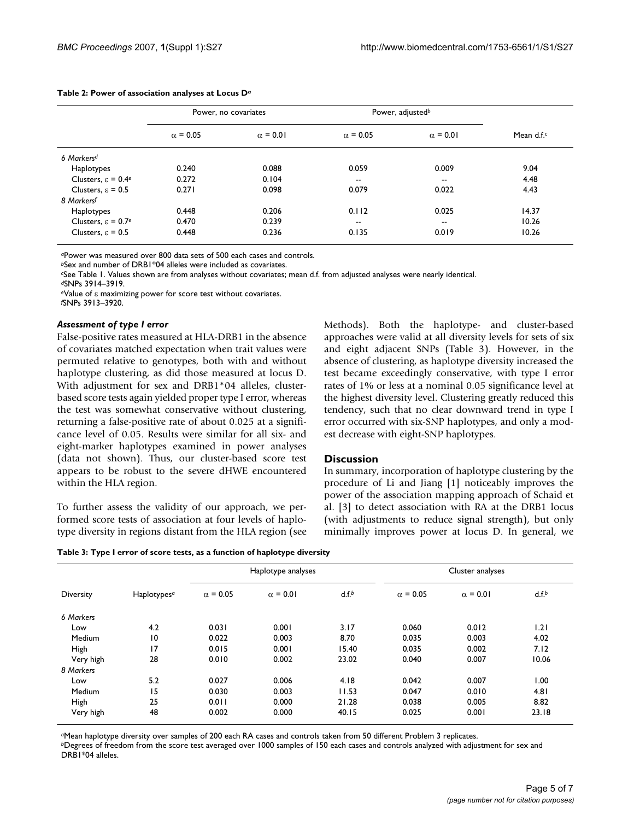|                                 | Power, no covariates |                 | Power, adjusted <sup>b</sup> |                 |                      |
|---------------------------------|----------------------|-----------------|------------------------------|-----------------|----------------------|
|                                 | $\alpha$ = 0.05      | $\alpha$ = 0.01 | $\alpha$ = 0.05              | $\alpha$ = 0.01 | Mean d.f. $\epsilon$ |
| 6 Markers <sup>d</sup>          |                      |                 |                              |                 |                      |
| Haplotypes                      | 0.240                | 0.088           | 0.059                        | 0.009           | 9.04                 |
| Clusters, $\varepsilon = 0.4^e$ | 0.272                | 0.104           | $- -$                        | --              | 4.48                 |
| Clusters, $\varepsilon = 0.5$   | 0.271                | 0.098           | 0.079                        | 0.022           | 4.43                 |
| 8 Markersf                      |                      |                 |                              |                 |                      |
| Haplotypes                      | 0.448                | 0.206           | 0.112                        | 0.025           | 14.37                |
| Clusters, $\varepsilon = 0.7e$  | 0.470                | 0.239           | $\overline{\phantom{a}}$     | --              | 10.26                |
| Clusters, $\varepsilon = 0.5$   | 0.448                | 0.236           | 0.135                        | 0.019           | 10.26                |

#### **Table 2: Power of association analyses at Locus D***<sup>a</sup>*

*<sup>a</sup>*Power was measured over 800 data sets of 500 each cases and controls.

*<sup>b</sup>*Sex and number of DRB1\*04 alleles were included as covariates.

*<sup>c</sup>*See Table 1. Values shown are from analyses without covariates; mean d.f. from adjusted analyses were nearly identical.

*<sup>d</sup>*SNPs 3914–3919.

*<sup>e</sup>*Value of ε maximizing power for score test without covariates.

*f* SNPs 3913–3920.

#### *Assessment of type I error*

False-positive rates measured at HLA-DRB1 in the absence of covariates matched expectation when trait values were permuted relative to genotypes, both with and without haplotype clustering, as did those measured at locus D. With adjustment for sex and DRB1\*04 alleles, clusterbased score tests again yielded proper type I error, whereas the test was somewhat conservative without clustering, returning a false-positive rate of about 0.025 at a significance level of 0.05. Results were similar for all six- and eight-marker haplotypes examined in power analyses (data not shown). Thus, our cluster-based score test appears to be robust to the severe dHWE encountered within the HLA region.

To further assess the validity of our approach, we performed score tests of association at four levels of haplotype diversity in regions distant from the HLA region (see Methods). Both the haplotype- and cluster-based approaches were valid at all diversity levels for sets of six and eight adjacent SNPs (Table 3). However, in the absence of clustering, as haplotype diversity increased the test became exceedingly conservative, with type I error rates of 1% or less at a nominal 0.05 significance level at the highest diversity level. Clustering greatly reduced this tendency, such that no clear downward trend in type I error occurred with six-SNP haplotypes, and only a modest decrease with eight-SNP haplotypes.

#### **Discussion**

In summary, incorporation of haplotype clustering by the procedure of Li and Jiang [1] noticeably improves the power of the association mapping approach of Schaid et al. [3] to detect association with RA at the DRB1 locus (with adjustments to reduce signal strength), but only minimally improves power at locus D. In general, we

| Table 3: Type I error of score tests, as a function of haplotype diversity |  |  |  |  |  |  |  |  |  |  |  |  |  |  |
|----------------------------------------------------------------------------|--|--|--|--|--|--|--|--|--|--|--|--|--|--|
|----------------------------------------------------------------------------|--|--|--|--|--|--|--|--|--|--|--|--|--|--|

| Diversity |                         |                 | Haplotype analyses |       |                 | Cluster analyses |       |  |
|-----------|-------------------------|-----------------|--------------------|-------|-----------------|------------------|-------|--|
|           | Haplotypes <sup>a</sup> | $\alpha$ = 0.05 | $\alpha$ = 0.01    | d.f.b | $\alpha$ = 0.05 | $\alpha$ = 0.01  | d.f.b |  |
| 6 Markers |                         |                 |                    |       |                 |                  |       |  |
| Low       | 4.2                     | 0.031           | 0.001              | 3.17  | 0.060           | 0.012            | 1.21  |  |
| Medium    | $\overline{10}$         | 0.022           | 0.003              | 8.70  | 0.035           | 0.003            | 4.02  |  |
| High      | 17                      | 0.015           | 0.001              | 15.40 | 0.035           | 0.002            | 7.12  |  |
| Very high | 28                      | 0.010           | 0.002              | 23.02 | 0.040           | 0.007            | 10.06 |  |
| 8 Markers |                         |                 |                    |       |                 |                  |       |  |
| Low       | 5.2                     | 0.027           | 0.006              | 4.18  | 0.042           | 0.007            | 1.00  |  |
| Medium    | 15                      | 0.030           | 0.003              | 11.53 | 0.047           | 0.010            | 4.81  |  |
| High      | 25                      | 0.011           | 0.000              | 21.28 | 0.038           | 0.005            | 8.82  |  |
| Very high | 48                      | 0.002           | 0.000              | 40.15 | 0.025           | 0.001            | 23.18 |  |

*<sup>a</sup>*Mean haplotype diversity over samples of 200 each RA cases and controls taken from 50 different Problem 3 replicates.

*<sup>b</sup>*Degrees of freedom from the score test averaged over 1000 samples of 150 each cases and controls analyzed with adjustment for sex and DRB1\*04 alleles.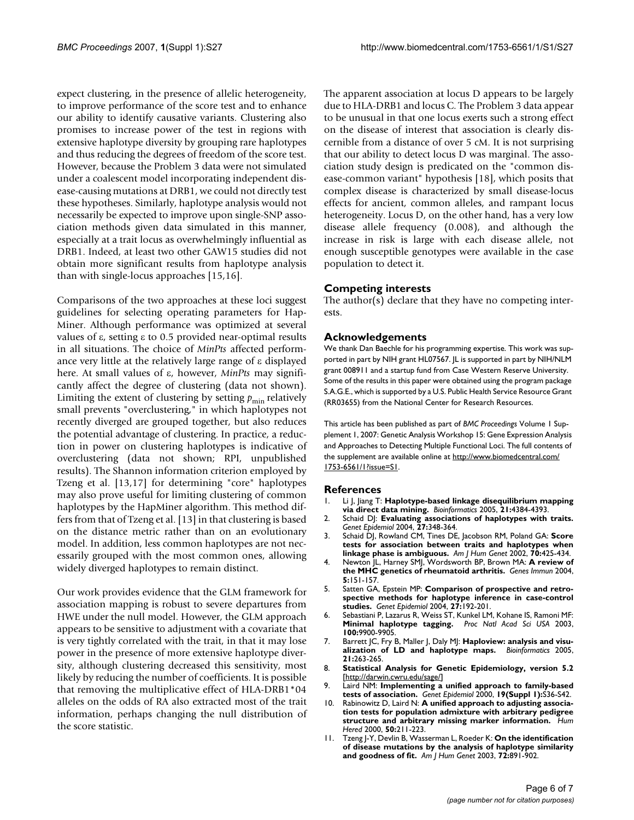expect clustering, in the presence of allelic heterogeneity, to improve performance of the score test and to enhance our ability to identify causative variants. Clustering also promises to increase power of the test in regions with extensive haplotype diversity by grouping rare haplotypes and thus reducing the degrees of freedom of the score test. However, because the Problem 3 data were not simulated under a coalescent model incorporating independent disease-causing mutations at DRB1, we could not directly test these hypotheses. Similarly, haplotype analysis would not necessarily be expected to improve upon single-SNP association methods given data simulated in this manner, especially at a trait locus as overwhelmingly influential as DRB1. Indeed, at least two other GAW15 studies did not obtain more significant results from haplotype analysis than with single-locus approaches [15,16].

Comparisons of the two approaches at these loci suggest guidelines for selecting operating parameters for Hap-Miner. Although performance was optimized at several values of ε, setting ε to 0.5 provided near-optimal results in all situations. The choice of *MinPts* affected performance very little at the relatively large range of ε displayed here. At small values of ε, however, *MinPts* may significantly affect the degree of clustering (data not shown). Limiting the extent of clustering by setting  $p_{\min}$  relatively small prevents "overclustering," in which haplotypes not recently diverged are grouped together, but also reduces the potential advantage of clustering. In practice, a reduction in power on clustering haplotypes is indicative of overclustering (data not shown; RPI, unpublished results). The Shannon information criterion employed by Tzeng et al. [13,17] for determining "core" haplotypes may also prove useful for limiting clustering of common haplotypes by the HapMiner algorithm. This method differs from that of Tzeng et al. [13] in that clustering is based on the distance metric rather than on an evolutionary model. In addition, less common haplotypes are not necessarily grouped with the most common ones, allowing widely diverged haplotypes to remain distinct.

Our work provides evidence that the GLM framework for association mapping is robust to severe departures from HWE under the null model. However, the GLM approach appears to be sensitive to adjustment with a covariate that is very tightly correlated with the trait, in that it may lose power in the presence of more extensive haplotype diversity, although clustering decreased this sensitivity, most likely by reducing the number of coefficients. It is possible that removing the multiplicative effect of HLA-DRB1\*04 alleles on the odds of RA also extracted most of the trait information, perhaps changing the null distribution of the score statistic.

The apparent association at locus D appears to be largely due to HLA-DRB1 and locus C. The Problem 3 data appear to be unusual in that one locus exerts such a strong effect on the disease of interest that association is clearly discernible from a distance of over 5 cM. It is not surprising that our ability to detect locus D was marginal. The association study design is predicated on the "common disease-common variant" hypothesis [18], which posits that complex disease is characterized by small disease-locus effects for ancient, common alleles, and rampant locus heterogeneity. Locus D, on the other hand, has a very low disease allele frequency (0.008), and although the increase in risk is large with each disease allele, not enough susceptible genotypes were available in the case population to detect it.

#### **Competing interests**

The author(s) declare that they have no competing interests.

#### **Acknowledgements**

We thank Dan Baechle for his programming expertise. This work was supported in part by NIH grant HL07567. JL is supported in part by NIH/NLM grant 008911 and a startup fund from Case Western Reserve University. Some of the results in this paper were obtained using the program package S.A.G.E., which is supported by a U.S. Public Health Service Resource Grant (RR03655) from the National Center for Research Resources.

This article has been published as part of *BMC Proceedings* Volume 1 Supplement 1, 2007: Genetic Analysis Workshop 15: Gene Expression Analysis and Approaches to Detecting Multiple Functional Loci. The full contents of the supplement are available online at [http://www.biomedcentral.com/](http://www.biomedcentral.com/1753-6561/1?issue=S1) [1753-6561/1?issue=S1.](http://www.biomedcentral.com/1753-6561/1?issue=S1)

#### **References**

- 1. Li J, Jiang T: **[Haplotype-based linkage disequilibrium mapping](http://www.ncbi.nlm.nih.gov/entrez/query.fcgi?cmd=Retrieve&db=PubMed&dopt=Abstract&list_uids=16249262) [via direct data mining.](http://www.ncbi.nlm.nih.gov/entrez/query.fcgi?cmd=Retrieve&db=PubMed&dopt=Abstract&list_uids=16249262)** *Bioinformatics* 2005, **21:**4384-4393.
- 2. Schaid DJ: **[Evaluating associations of haplotypes with traits.](http://www.ncbi.nlm.nih.gov/entrez/query.fcgi?cmd=Retrieve&db=PubMed&dopt=Abstract&list_uids=15543638)** *Genet Epidemiol* 2004, **27:**348-364.
- 3. Schaid DJ, Rowland CM, Tines DE, Jacobson RM, Poland GA: **[Score](http://www.ncbi.nlm.nih.gov/entrez/query.fcgi?cmd=Retrieve&db=PubMed&dopt=Abstract&list_uids=11791212) [tests for association between traits and haplotypes when](http://www.ncbi.nlm.nih.gov/entrez/query.fcgi?cmd=Retrieve&db=PubMed&dopt=Abstract&list_uids=11791212) [linkage phase is ambiguous.](http://www.ncbi.nlm.nih.gov/entrez/query.fcgi?cmd=Retrieve&db=PubMed&dopt=Abstract&list_uids=11791212)** *Am J Hum Genet* 2002, **70:**425-434.
- 4. Newton JL, Harney SMJ, Wordsworth BP, Brown MA: **[A review of](http://www.ncbi.nlm.nih.gov/entrez/query.fcgi?cmd=Retrieve&db=PubMed&dopt=Abstract&list_uids=14749714) [the MHC genetics of rheumatoid arthritis.](http://www.ncbi.nlm.nih.gov/entrez/query.fcgi?cmd=Retrieve&db=PubMed&dopt=Abstract&list_uids=14749714)** *Genes Immun* 2004, **5:**151-157.
- 5. Satten GA, Epstein MP: **[Comparison of prospective and retro](http://www.ncbi.nlm.nih.gov/entrez/query.fcgi?cmd=Retrieve&db=PubMed&dopt=Abstract&list_uids=15372619)[spective methods for haplotype inference in case-control](http://www.ncbi.nlm.nih.gov/entrez/query.fcgi?cmd=Retrieve&db=PubMed&dopt=Abstract&list_uids=15372619) [studies.](http://www.ncbi.nlm.nih.gov/entrez/query.fcgi?cmd=Retrieve&db=PubMed&dopt=Abstract&list_uids=15372619)** *Genet Epidemiol* 2004, **27:**192-201.
- 6. Sebastiani P, Lazarus R, Weiss ST, Kunkel LM, Kohane IS, Ramoni MF: **[Minimal haplotype tagging.](http://www.ncbi.nlm.nih.gov/entrez/query.fcgi?cmd=Retrieve&db=PubMed&dopt=Abstract&list_uids=12900503)** *Proc Natl Acad Sci USA* 2003, **100:**9900-9905.
- 7. Barrett JC, Fry B, Maller J, Daly MJ: **[Haploview: analysis and visu](http://www.ncbi.nlm.nih.gov/entrez/query.fcgi?cmd=Retrieve&db=PubMed&dopt=Abstract&list_uids=15297300)[alization of LD and haplotype maps.](http://www.ncbi.nlm.nih.gov/entrez/query.fcgi?cmd=Retrieve&db=PubMed&dopt=Abstract&list_uids=15297300)** *Bioinformatics* 2005, **21:**263-265.
- 8. **Statistical Analysis for Genetic Epidemiology, version 5.2** [[http://darwin.cwru.edu/sage/\]](http://darwin.cwru.edu/sage/)
- 9. Laird NM: **[Implementing a unified approach to family-based](http://www.ncbi.nlm.nih.gov/entrez/query.fcgi?cmd=Retrieve&db=PubMed&dopt=Abstract&list_uids=11055368) [tests of association.](http://www.ncbi.nlm.nih.gov/entrez/query.fcgi?cmd=Retrieve&db=PubMed&dopt=Abstract&list_uids=11055368)** *Genet Epidemiol* 2000, **19(Suppl 1):**S36-S42.
- 10. Rabinowitz D, Laird N: **[A unified approach to adjusting associa](http://www.ncbi.nlm.nih.gov/entrez/query.fcgi?cmd=Retrieve&db=PubMed&dopt=Abstract&list_uids=10782012)[tion tests for population admixture with arbitrary pedigree](http://www.ncbi.nlm.nih.gov/entrez/query.fcgi?cmd=Retrieve&db=PubMed&dopt=Abstract&list_uids=10782012) [structure and arbitrary missing marker information.](http://www.ncbi.nlm.nih.gov/entrez/query.fcgi?cmd=Retrieve&db=PubMed&dopt=Abstract&list_uids=10782012)** *Hum Hered* 2000, **50:**211-223.
- 11. Tzeng J-Y, Devlin B, Wasserman L, Roeder K: **[On the identification](http://www.ncbi.nlm.nih.gov/entrez/query.fcgi?cmd=Retrieve&db=PubMed&dopt=Abstract&list_uids=12610778) [of disease mutations by the analysis of haplotype similarity](http://www.ncbi.nlm.nih.gov/entrez/query.fcgi?cmd=Retrieve&db=PubMed&dopt=Abstract&list_uids=12610778) [and goodness of fit.](http://www.ncbi.nlm.nih.gov/entrez/query.fcgi?cmd=Retrieve&db=PubMed&dopt=Abstract&list_uids=12610778)** *Am J Hum Genet* 2003, **72:**891-902.